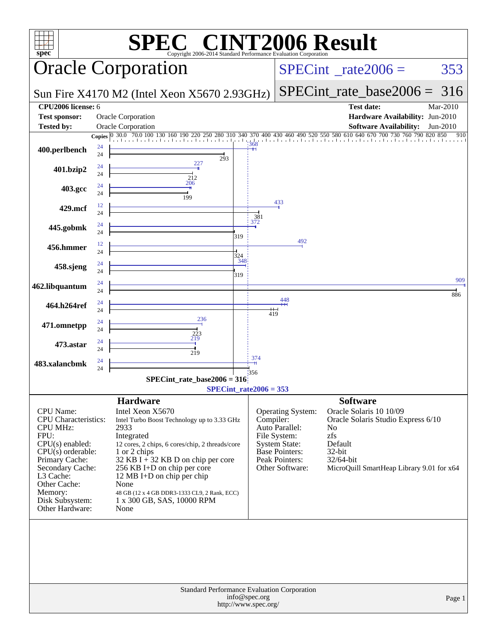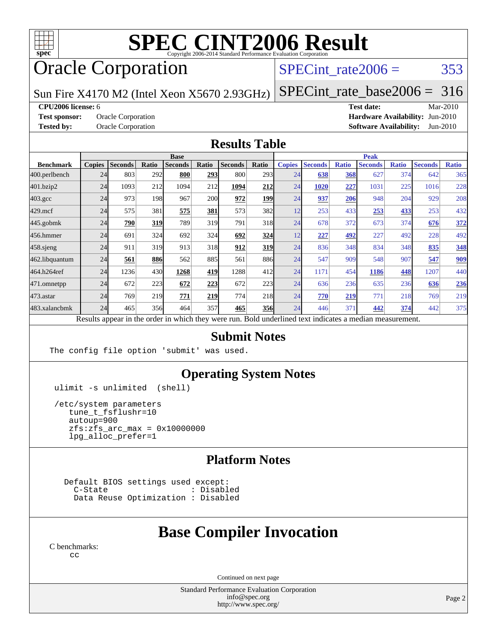

# **[SPEC CINT2006 Result](http://www.spec.org/auto/cpu2006/Docs/result-fields.html#SPECCINT2006Result)**

## Oracle Corporation

### SPECint rate $2006 = 353$

Sun Fire X4170 M2 (Intel Xeon X5670 2.93GHz) [SPECint\\_rate\\_base2006 =](http://www.spec.org/auto/cpu2006/Docs/result-fields.html#SPECintratebase2006) 316

**[CPU2006 license:](http://www.spec.org/auto/cpu2006/Docs/result-fields.html#CPU2006license)** 6 **[Test date:](http://www.spec.org/auto/cpu2006/Docs/result-fields.html#Testdate)** Mar-2010 **[Test sponsor:](http://www.spec.org/auto/cpu2006/Docs/result-fields.html#Testsponsor)** Oracle Corporation **[Hardware Availability:](http://www.spec.org/auto/cpu2006/Docs/result-fields.html#HardwareAvailability)** Jun-2010 **[Tested by:](http://www.spec.org/auto/cpu2006/Docs/result-fields.html#Testedby)** Oracle Corporation **[Software Availability:](http://www.spec.org/auto/cpu2006/Docs/result-fields.html#SoftwareAvailability)** Jun-2010

#### **[Results Table](http://www.spec.org/auto/cpu2006/Docs/result-fields.html#ResultsTable)**

|                    | <b>Base</b>   |                |       |                |            |                                                                                                          |       | <b>Peak</b>   |                |              |                |              |                |              |
|--------------------|---------------|----------------|-------|----------------|------------|----------------------------------------------------------------------------------------------------------|-------|---------------|----------------|--------------|----------------|--------------|----------------|--------------|
| <b>Benchmark</b>   | <b>Copies</b> | <b>Seconds</b> | Ratio | <b>Seconds</b> | Ratio      | <b>Seconds</b>                                                                                           | Ratio | <b>Copies</b> | <b>Seconds</b> | <b>Ratio</b> | <b>Seconds</b> | <b>Ratio</b> | <b>Seconds</b> | <b>Ratio</b> |
| 400.perlbench      | 24            | 803            | 292   | 800            | 293        | 800                                                                                                      | 293   | 24            | 638            | 368          | 627            | 374          | 642            | 365          |
| 401.bzip2          | 24            | 1093           | 212   | 1094           | 212        | 1094                                                                                                     | 212   | 24            | 1020           | 227          | 1031           | 225          | 1016           | 228          |
| $403.\mathrm{gcc}$ | 24            | 973            | 198   | 967            | <b>200</b> | 972                                                                                                      | 199   | 24            | 937            | 206          | 948            | 204          | 929            | 208          |
| $429$ .mcf         | 24            | 575            | 381   | 575            | 381        | 573                                                                                                      | 382   | 12            | 253            | 433          | 253            | 433          | 253            | 432          |
| $445$ .gobmk       | 24            | 790            | 319   | 789            | 319        | 791                                                                                                      | 318   | 24            | 678            | 372          | 673            | 374          | 676            | 372          |
| 456.hmmer          | 24            | 691            | 324   | 692            | 324        | 692                                                                                                      | 324   | 12            | 227            | 492          | 227            | 492          | 228            | 492          |
| $458$ sjeng        | 24            | 911            | 319   | 913            | 318        | 912                                                                                                      | 319   | 24            | 836            | 348          | 834            | 348          | 835            | 348          |
| 462.libquantum     | 24            | 561            | 886   | 562            | 885        | 561                                                                                                      | 886   | 24            | 547            | 909          | 548            | 907          | 547            | 909          |
| 464.h264ref        | 24            | 1236           | 430   | 1268           | 419        | 1288                                                                                                     | 412   | 24            | 1171           | 454          | 1186           | 448          | 1207           | 440          |
| $471$ .omnetpp     | 24            | 672            | 223   | 672            | 223        | 672                                                                                                      | 223   | 24            | 636            | 236          | 635            | 236          | 636            | 236          |
| 473.astar          | 24            | 769            | 219   | 771            | 219        | 774                                                                                                      | 218   | 24            | 770            | 219          | 771            | 218          | 769            | 219          |
| 483.xalancbmk      | 24            | 465            | 356   | 464            | 357        | 465                                                                                                      | 356   | 24            | 446            | 371          | 442            | 374          | 442            | 375          |
|                    |               |                |       |                |            | Results appear in the order in which they were run. Bold underlined text indicates a median measurement. |       |               |                |              |                |              |                |              |

#### **[Submit Notes](http://www.spec.org/auto/cpu2006/Docs/result-fields.html#SubmitNotes)**

The config file option 'submit' was used.

#### **[Operating System Notes](http://www.spec.org/auto/cpu2006/Docs/result-fields.html#OperatingSystemNotes)**

ulimit -s unlimited (shell)

 /etc/system parameters tune\_t\_fsflushr=10 autoup=900  $zfs:zfs\_arc\_max = 0x10000000$ lpg\_alloc\_prefer=1

#### **[Platform Notes](http://www.spec.org/auto/cpu2006/Docs/result-fields.html#PlatformNotes)**

Default BIOS settings used except:<br>C-State : Disabl : Disabled Data Reuse Optimization : Disabled

## **[Base Compiler Invocation](http://www.spec.org/auto/cpu2006/Docs/result-fields.html#BaseCompilerInvocation)**

[C benchmarks](http://www.spec.org/auto/cpu2006/Docs/result-fields.html#Cbenchmarks): [cc](http://www.spec.org/cpu2006/results/res2010q3/cpu2006-20100620-11768.flags.html#user_CCbase_sun_cc)

Continued on next page

Standard Performance Evaluation Corporation [info@spec.org](mailto:info@spec.org) <http://www.spec.org/>

Page 2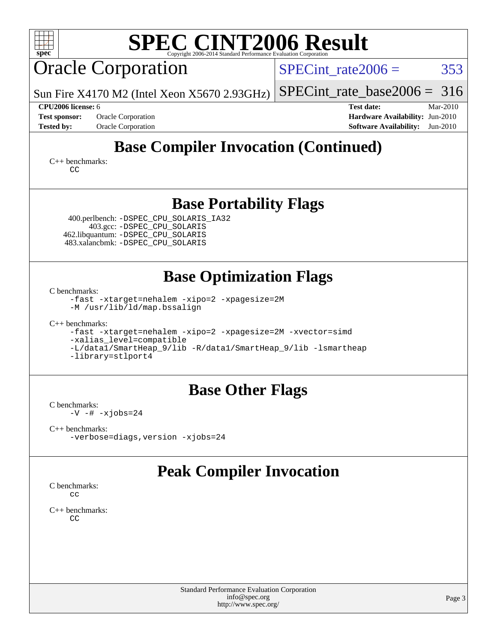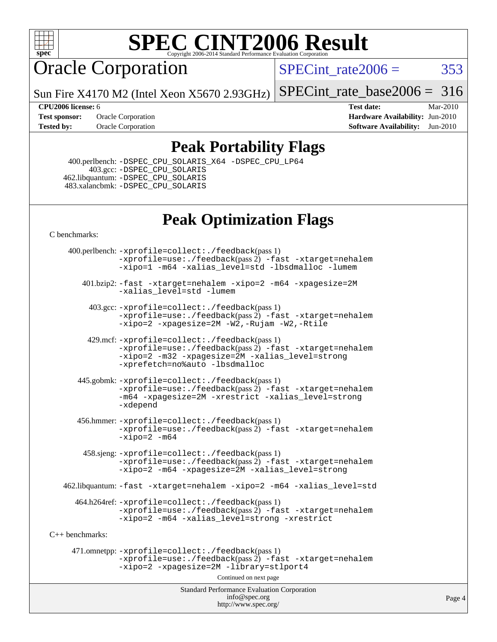

# **[SPEC CINT2006 Result](http://www.spec.org/auto/cpu2006/Docs/result-fields.html#SPECCINT2006Result)**

## Oracle Corporation

SPECint rate $2006 = 353$ 

Sun Fire X4170 M2 (Intel Xeon X5670 2.93GHz)

[SPECint\\_rate\\_base2006 =](http://www.spec.org/auto/cpu2006/Docs/result-fields.html#SPECintratebase2006) 316

**[Tested by:](http://www.spec.org/auto/cpu2006/Docs/result-fields.html#Testedby)** Oracle Corporation **[Software Availability:](http://www.spec.org/auto/cpu2006/Docs/result-fields.html#SoftwareAvailability)** Jun-2010

**[CPU2006 license:](http://www.spec.org/auto/cpu2006/Docs/result-fields.html#CPU2006license)** 6 **[Test date:](http://www.spec.org/auto/cpu2006/Docs/result-fields.html#Testdate)** Mar-2010 **[Test sponsor:](http://www.spec.org/auto/cpu2006/Docs/result-fields.html#Testsponsor)** Oracle Corporation **[Hardware Availability:](http://www.spec.org/auto/cpu2006/Docs/result-fields.html#HardwareAvailability)** Jun-2010

### **[Peak Portability Flags](http://www.spec.org/auto/cpu2006/Docs/result-fields.html#PeakPortabilityFlags)**

 400.perlbench: [-DSPEC\\_CPU\\_SOLARIS\\_X64](http://www.spec.org/cpu2006/results/res2010q3/cpu2006-20100620-11768.flags.html#b400.perlbench_peakCPORTABILITY_DSPEC_CPU_SOLARIS_X64) [-DSPEC\\_CPU\\_LP64](http://www.spec.org/cpu2006/results/res2010q3/cpu2006-20100620-11768.flags.html#b400.perlbench_peakCPORTABILITY_DSPEC_CPU_LP64) 403.gcc: [-DSPEC\\_CPU\\_SOLARIS](http://www.spec.org/cpu2006/results/res2010q3/cpu2006-20100620-11768.flags.html#b403.gcc_peakCPORTABILITY_DSPEC_CPU_SOLARIS) 462.libquantum: [-DSPEC\\_CPU\\_SOLARIS](http://www.spec.org/cpu2006/results/res2010q3/cpu2006-20100620-11768.flags.html#b462.libquantum_peakCPORTABILITY_DSPEC_CPU_SOLARIS) 483.xalancbmk: [-DSPEC\\_CPU\\_SOLARIS](http://www.spec.org/cpu2006/results/res2010q3/cpu2006-20100620-11768.flags.html#b483.xalancbmk_peakCXXPORTABILITY_DSPEC_CPU_SOLARIS)

## **[Peak Optimization Flags](http://www.spec.org/auto/cpu2006/Docs/result-fields.html#PeakOptimizationFlags)**

[C benchmarks](http://www.spec.org/auto/cpu2006/Docs/result-fields.html#Cbenchmarks):

Standard Performance Evaluation Corporation [info@spec.org](mailto:info@spec.org) <http://www.spec.org/> 400.perlbench: [-xprofile=collect:./feedback](http://www.spec.org/cpu2006/results/res2010q3/cpu2006-20100620-11768.flags.html#user_peakPASS1_CFLAGSPASS1_LDFLAGS400_perlbench_xprofile_collect_eb7600ff49c156e08b79eda146723f7d)(pass 1) [-xprofile=use:./feedback](http://www.spec.org/cpu2006/results/res2010q3/cpu2006-20100620-11768.flags.html#user_peakPASS2_CFLAGSPASS2_LDFLAGS400_perlbench_xprofile_use_2c7da09021590254e061b7043891e3f2)(pass 2) [-fast](http://www.spec.org/cpu2006/results/res2010q3/cpu2006-20100620-11768.flags.html#user_peakOPTIMIZE400_perlbench_fast_cc) [-xtarget=nehalem](http://www.spec.org/cpu2006/results/res2010q3/cpu2006-20100620-11768.flags.html#user_peakOPTIMIZE400_perlbench_xtarget_74860a595ffaa63cd4d8626087837745) [-xipo=1](http://www.spec.org/cpu2006/results/res2010q3/cpu2006-20100620-11768.flags.html#user_peakOPTIMIZE400_perlbench_xipo_244aeef1b109ad561a752b1a22d45e94) [-m64](http://www.spec.org/cpu2006/results/res2010q3/cpu2006-20100620-11768.flags.html#user_peakOPTIMIZE400_perlbench_F-m64) [-xalias\\_level=std](http://www.spec.org/cpu2006/results/res2010q3/cpu2006-20100620-11768.flags.html#user_peakOPTIMIZE400_perlbench_xalias_level_cc_ed12b6aa9cc1ccf9ee8329664a2d2066) [-lbsdmalloc](http://www.spec.org/cpu2006/results/res2010q3/cpu2006-20100620-11768.flags.html#user_peakEXTRA_LIBS400_perlbench_F-lbsdmalloc) [-lumem](http://www.spec.org/cpu2006/results/res2010q3/cpu2006-20100620-11768.flags.html#user_peakEXTRA_LIBS400_perlbench_F-lumem) 401.bzip2: [-fast](http://www.spec.org/cpu2006/results/res2010q3/cpu2006-20100620-11768.flags.html#user_peakOPTIMIZE401_bzip2_fast_cc) [-xtarget=nehalem](http://www.spec.org/cpu2006/results/res2010q3/cpu2006-20100620-11768.flags.html#user_peakOPTIMIZE401_bzip2_xtarget_74860a595ffaa63cd4d8626087837745) [-xipo=2](http://www.spec.org/cpu2006/results/res2010q3/cpu2006-20100620-11768.flags.html#user_peakOPTIMIZE401_bzip2_xipo_5e3708e8f61bc7c7cade0f8c4dada1db) [-m64](http://www.spec.org/cpu2006/results/res2010q3/cpu2006-20100620-11768.flags.html#user_peakOPTIMIZE401_bzip2_F-m64) [-xpagesize=2M](http://www.spec.org/cpu2006/results/res2010q3/cpu2006-20100620-11768.flags.html#user_peakOPTIMIZE401_bzip2_xpagesize_f50b67cca4ef3b24ae5e9aaf0af70b7e) [-xalias\\_level=std](http://www.spec.org/cpu2006/results/res2010q3/cpu2006-20100620-11768.flags.html#user_peakOPTIMIZE401_bzip2_xalias_level_cc_ed12b6aa9cc1ccf9ee8329664a2d2066) [-lumem](http://www.spec.org/cpu2006/results/res2010q3/cpu2006-20100620-11768.flags.html#user_peakEXTRA_LIBS401_bzip2_F-lumem) 403.gcc: [-xprofile=collect:./feedback](http://www.spec.org/cpu2006/results/res2010q3/cpu2006-20100620-11768.flags.html#user_peakPASS1_CFLAGSPASS1_LDFLAGS403_gcc_xprofile_collect_eb7600ff49c156e08b79eda146723f7d)(pass 1) [-xprofile=use:./feedback](http://www.spec.org/cpu2006/results/res2010q3/cpu2006-20100620-11768.flags.html#user_peakPASS2_CFLAGSPASS2_LDFLAGS403_gcc_xprofile_use_2c7da09021590254e061b7043891e3f2)(pass 2) [-fast](http://www.spec.org/cpu2006/results/res2010q3/cpu2006-20100620-11768.flags.html#user_peakOPTIMIZE403_gcc_fast_cc) [-xtarget=nehalem](http://www.spec.org/cpu2006/results/res2010q3/cpu2006-20100620-11768.flags.html#user_peakOPTIMIZE403_gcc_xtarget_74860a595ffaa63cd4d8626087837745) [-xipo=2](http://www.spec.org/cpu2006/results/res2010q3/cpu2006-20100620-11768.flags.html#user_peakOPTIMIZE403_gcc_xipo_5e3708e8f61bc7c7cade0f8c4dada1db) [-xpagesize=2M](http://www.spec.org/cpu2006/results/res2010q3/cpu2006-20100620-11768.flags.html#user_peakOPTIMIZE403_gcc_xpagesize_f50b67cca4ef3b24ae5e9aaf0af70b7e) [-W2,-Rujam](http://www.spec.org/cpu2006/results/res2010q3/cpu2006-20100620-11768.flags.html#user_peakCOPTIMIZE403_gcc_Rujam_bd0a3be023a85ea10a1f4d32007e195f) [-W2,-Rtile](http://www.spec.org/cpu2006/results/res2010q3/cpu2006-20100620-11768.flags.html#user_peakCOPTIMIZE403_gcc_Rtile_b376e3968d2912a65330994d7bfe5528) 429.mcf: [-xprofile=collect:./feedback](http://www.spec.org/cpu2006/results/res2010q3/cpu2006-20100620-11768.flags.html#user_peakPASS1_CFLAGSPASS1_LDFLAGS429_mcf_xprofile_collect_eb7600ff49c156e08b79eda146723f7d)(pass 1) [-xprofile=use:./feedback](http://www.spec.org/cpu2006/results/res2010q3/cpu2006-20100620-11768.flags.html#user_peakPASS2_CFLAGSPASS2_LDFLAGS429_mcf_xprofile_use_2c7da09021590254e061b7043891e3f2)(pass 2) [-fast](http://www.spec.org/cpu2006/results/res2010q3/cpu2006-20100620-11768.flags.html#user_peakOPTIMIZE429_mcf_fast_cc) [-xtarget=nehalem](http://www.spec.org/cpu2006/results/res2010q3/cpu2006-20100620-11768.flags.html#user_peakOPTIMIZE429_mcf_xtarget_74860a595ffaa63cd4d8626087837745) [-xipo=2](http://www.spec.org/cpu2006/results/res2010q3/cpu2006-20100620-11768.flags.html#user_peakOPTIMIZE429_mcf_xipo_5e3708e8f61bc7c7cade0f8c4dada1db) [-m32](http://www.spec.org/cpu2006/results/res2010q3/cpu2006-20100620-11768.flags.html#user_peakOPTIMIZE429_mcf_F-m32) [-xpagesize=2M](http://www.spec.org/cpu2006/results/res2010q3/cpu2006-20100620-11768.flags.html#user_peakOPTIMIZE429_mcf_xpagesize_f50b67cca4ef3b24ae5e9aaf0af70b7e) [-xalias\\_level=strong](http://www.spec.org/cpu2006/results/res2010q3/cpu2006-20100620-11768.flags.html#user_peakOPTIMIZE429_mcf_xalias_level_cc_55f5e21d5175f1806f53f2825faa86c9) [-xprefetch=no%auto](http://www.spec.org/cpu2006/results/res2010q3/cpu2006-20100620-11768.flags.html#user_peakOPTIMIZE429_mcf_xprefetch_aadf369b144f677b141e4051b7b2a0c9) [-lbsdmalloc](http://www.spec.org/cpu2006/results/res2010q3/cpu2006-20100620-11768.flags.html#user_peakEXTRA_LIBS429_mcf_F-lbsdmalloc) 445.gobmk: [-xprofile=collect:./feedback](http://www.spec.org/cpu2006/results/res2010q3/cpu2006-20100620-11768.flags.html#user_peakPASS1_CFLAGSPASS1_LDFLAGS445_gobmk_xprofile_collect_eb7600ff49c156e08b79eda146723f7d)(pass 1) [-xprofile=use:./feedback](http://www.spec.org/cpu2006/results/res2010q3/cpu2006-20100620-11768.flags.html#user_peakPASS2_CFLAGSPASS2_LDFLAGS445_gobmk_xprofile_use_2c7da09021590254e061b7043891e3f2)(pass 2) [-fast](http://www.spec.org/cpu2006/results/res2010q3/cpu2006-20100620-11768.flags.html#user_peakOPTIMIZE445_gobmk_fast_cc) [-xtarget=nehalem](http://www.spec.org/cpu2006/results/res2010q3/cpu2006-20100620-11768.flags.html#user_peakOPTIMIZE445_gobmk_xtarget_74860a595ffaa63cd4d8626087837745) [-m64](http://www.spec.org/cpu2006/results/res2010q3/cpu2006-20100620-11768.flags.html#user_peakOPTIMIZE445_gobmk_F-m64) [-xpagesize=2M](http://www.spec.org/cpu2006/results/res2010q3/cpu2006-20100620-11768.flags.html#user_peakOPTIMIZE445_gobmk_xpagesize_f50b67cca4ef3b24ae5e9aaf0af70b7e) [-xrestrict](http://www.spec.org/cpu2006/results/res2010q3/cpu2006-20100620-11768.flags.html#user_peakOPTIMIZE445_gobmk_F-xrestrict) [-xalias\\_level=strong](http://www.spec.org/cpu2006/results/res2010q3/cpu2006-20100620-11768.flags.html#user_peakOPTIMIZE445_gobmk_xalias_level_cc_55f5e21d5175f1806f53f2825faa86c9) [-xdepend](http://www.spec.org/cpu2006/results/res2010q3/cpu2006-20100620-11768.flags.html#user_peakOPTIMIZE445_gobmk_F-xdepend) 456.hmmer: [-xprofile=collect:./feedback](http://www.spec.org/cpu2006/results/res2010q3/cpu2006-20100620-11768.flags.html#user_peakPASS1_CFLAGSPASS1_LDFLAGS456_hmmer_xprofile_collect_eb7600ff49c156e08b79eda146723f7d)(pass 1) [-xprofile=use:./feedback](http://www.spec.org/cpu2006/results/res2010q3/cpu2006-20100620-11768.flags.html#user_peakPASS2_CFLAGSPASS2_LDFLAGS456_hmmer_xprofile_use_2c7da09021590254e061b7043891e3f2)(pass 2) [-fast](http://www.spec.org/cpu2006/results/res2010q3/cpu2006-20100620-11768.flags.html#user_peakOPTIMIZE456_hmmer_fast_cc) [-xtarget=nehalem](http://www.spec.org/cpu2006/results/res2010q3/cpu2006-20100620-11768.flags.html#user_peakOPTIMIZE456_hmmer_xtarget_74860a595ffaa63cd4d8626087837745)  $-xipo=2 -m64$  $-xipo=2 -m64$  $-xipo=2 -m64$  458.sjeng: [-xprofile=collect:./feedback](http://www.spec.org/cpu2006/results/res2010q3/cpu2006-20100620-11768.flags.html#user_peakPASS1_CFLAGSPASS1_LDFLAGS458_sjeng_xprofile_collect_eb7600ff49c156e08b79eda146723f7d)(pass 1) [-xprofile=use:./feedback](http://www.spec.org/cpu2006/results/res2010q3/cpu2006-20100620-11768.flags.html#user_peakPASS2_CFLAGSPASS2_LDFLAGS458_sjeng_xprofile_use_2c7da09021590254e061b7043891e3f2)(pass 2) [-fast](http://www.spec.org/cpu2006/results/res2010q3/cpu2006-20100620-11768.flags.html#user_peakOPTIMIZE458_sjeng_fast_cc) [-xtarget=nehalem](http://www.spec.org/cpu2006/results/res2010q3/cpu2006-20100620-11768.flags.html#user_peakOPTIMIZE458_sjeng_xtarget_74860a595ffaa63cd4d8626087837745) [-xipo=2](http://www.spec.org/cpu2006/results/res2010q3/cpu2006-20100620-11768.flags.html#user_peakOPTIMIZE458_sjeng_xipo_5e3708e8f61bc7c7cade0f8c4dada1db) [-m64](http://www.spec.org/cpu2006/results/res2010q3/cpu2006-20100620-11768.flags.html#user_peakOPTIMIZE458_sjeng_F-m64) [-xpagesize=2M](http://www.spec.org/cpu2006/results/res2010q3/cpu2006-20100620-11768.flags.html#user_peakOPTIMIZE458_sjeng_xpagesize_f50b67cca4ef3b24ae5e9aaf0af70b7e) [-xalias\\_level=strong](http://www.spec.org/cpu2006/results/res2010q3/cpu2006-20100620-11768.flags.html#user_peakOPTIMIZE458_sjeng_xalias_level_cc_55f5e21d5175f1806f53f2825faa86c9) 462.libquantum: [-fast](http://www.spec.org/cpu2006/results/res2010q3/cpu2006-20100620-11768.flags.html#user_peakOPTIMIZE462_libquantum_fast_cc) [-xtarget=nehalem](http://www.spec.org/cpu2006/results/res2010q3/cpu2006-20100620-11768.flags.html#user_peakOPTIMIZE462_libquantum_xtarget_74860a595ffaa63cd4d8626087837745) [-xipo=2](http://www.spec.org/cpu2006/results/res2010q3/cpu2006-20100620-11768.flags.html#user_peakOPTIMIZE462_libquantum_xipo_5e3708e8f61bc7c7cade0f8c4dada1db) [-m64](http://www.spec.org/cpu2006/results/res2010q3/cpu2006-20100620-11768.flags.html#user_peakOPTIMIZE462_libquantum_F-m64) [-xalias\\_level=std](http://www.spec.org/cpu2006/results/res2010q3/cpu2006-20100620-11768.flags.html#user_peakEXTRA_OPTIMIZE462_libquantum_xalias_level_cc_ed12b6aa9cc1ccf9ee8329664a2d2066) 464.h264ref: [-xprofile=collect:./feedback](http://www.spec.org/cpu2006/results/res2010q3/cpu2006-20100620-11768.flags.html#user_peakPASS1_CFLAGSPASS1_LDFLAGS464_h264ref_xprofile_collect_eb7600ff49c156e08b79eda146723f7d)(pass 1) [-xprofile=use:./feedback](http://www.spec.org/cpu2006/results/res2010q3/cpu2006-20100620-11768.flags.html#user_peakPASS2_CFLAGSPASS2_LDFLAGS464_h264ref_xprofile_use_2c7da09021590254e061b7043891e3f2)(pass 2) [-fast](http://www.spec.org/cpu2006/results/res2010q3/cpu2006-20100620-11768.flags.html#user_peakOPTIMIZE464_h264ref_fast_cc) [-xtarget=nehalem](http://www.spec.org/cpu2006/results/res2010q3/cpu2006-20100620-11768.flags.html#user_peakOPTIMIZE464_h264ref_xtarget_74860a595ffaa63cd4d8626087837745) [-xipo=2](http://www.spec.org/cpu2006/results/res2010q3/cpu2006-20100620-11768.flags.html#user_peakOPTIMIZE464_h264ref_xipo_5e3708e8f61bc7c7cade0f8c4dada1db) [-m64](http://www.spec.org/cpu2006/results/res2010q3/cpu2006-20100620-11768.flags.html#user_peakOPTIMIZE464_h264ref_F-m64) [-xalias\\_level=strong](http://www.spec.org/cpu2006/results/res2010q3/cpu2006-20100620-11768.flags.html#user_peakOPTIMIZE464_h264ref_xalias_level_cc_55f5e21d5175f1806f53f2825faa86c9) [-xrestrict](http://www.spec.org/cpu2006/results/res2010q3/cpu2006-20100620-11768.flags.html#user_peakEXTRA_OPTIMIZE464_h264ref_F-xrestrict) [C++ benchmarks:](http://www.spec.org/auto/cpu2006/Docs/result-fields.html#CXXbenchmarks) 471.omnetpp: [-xprofile=collect:./feedback](http://www.spec.org/cpu2006/results/res2010q3/cpu2006-20100620-11768.flags.html#user_peakPASS1_CXXFLAGSPASS1_LDFLAGS471_omnetpp_xprofile_collect_eb7600ff49c156e08b79eda146723f7d)(pass 1) [-xprofile=use:./feedback](http://www.spec.org/cpu2006/results/res2010q3/cpu2006-20100620-11768.flags.html#user_peakPASS2_CXXFLAGSPASS2_LDFLAGS471_omnetpp_xprofile_use_2c7da09021590254e061b7043891e3f2)(pass 2) [-fast](http://www.spec.org/cpu2006/results/res2010q3/cpu2006-20100620-11768.flags.html#user_peakOPTIMIZE471_omnetpp_fast_CC) [-xtarget=nehalem](http://www.spec.org/cpu2006/results/res2010q3/cpu2006-20100620-11768.flags.html#user_peakOPTIMIZE471_omnetpp_xtarget_74860a595ffaa63cd4d8626087837745) [-xipo=2](http://www.spec.org/cpu2006/results/res2010q3/cpu2006-20100620-11768.flags.html#user_peakOPTIMIZE471_omnetpp_xipo_5e3708e8f61bc7c7cade0f8c4dada1db) [-xpagesize=2M](http://www.spec.org/cpu2006/results/res2010q3/cpu2006-20100620-11768.flags.html#user_peakOPTIMIZE471_omnetpp_xpagesize_f50b67cca4ef3b24ae5e9aaf0af70b7e) [-library=stlport4](http://www.spec.org/cpu2006/results/res2010q3/cpu2006-20100620-11768.flags.html#user_peakEXTRA_CXXFLAGSEXTRA_CXXLIBS471_omnetpp_F-lstlport4_b8e913805c6afc3a45e676d2e2070a28) Continued on next page